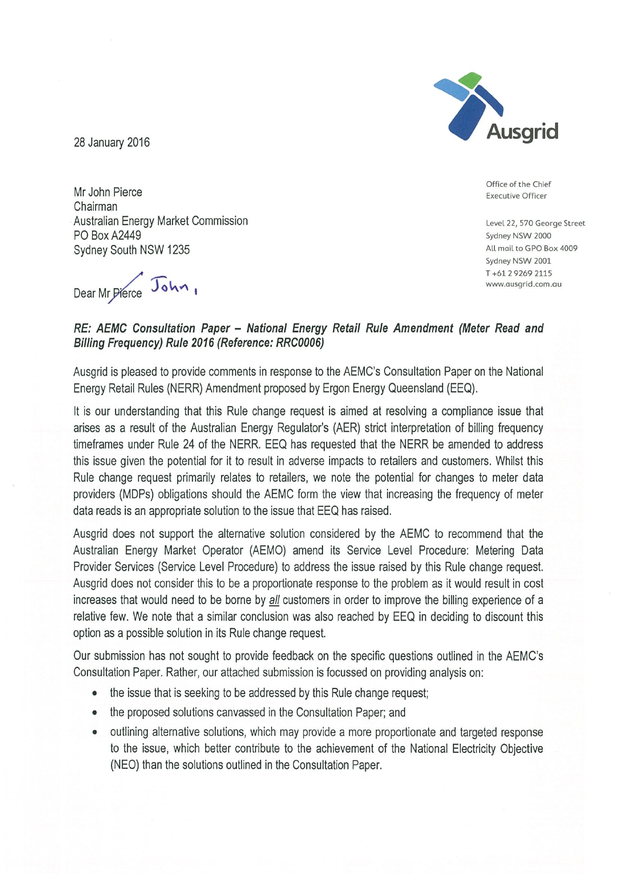Ausgrid

28 January 2016

Office of the Chief **Executive Officer** 

Level 22, 570 George Street Sydney NSW 2000 All mail to GPO Box 4009 Sydney NSW 2001 T+61 2 9 269 2115 www.ausgrid.com.au

Mr John Pierce Chairman Australian Energy Market Commission **PO Box A2449** Sydney South NSW 1235

Dear Mr Pierce John

### RE: AEMC Consultation Paper - National Energy Retail Rule Amendment (Meter Read and Billing Frequency) Rule 2016 (Reference: RRC0006)

Ausgrid is pleased to provide comments in response to the AEMC's Consultation Paper on the National Energy Retail Rules (NERR) Amendment proposed by Ergon Energy Queensland (EEQ).

It is our understanding that this Rule change request is aimed at resolving a compliance issue that arises as a result of the Australian Energy Regulator's (AER) strict interpretation of billing frequency timeframes under Rule 24 of the NERR. EEQ has requested that the NERR be amended to address this issue given the potential for it to result in adverse impacts to retailers and customers. Whilst this Rule change request primarily relates to retailers, we note the potential for changes to meter data providers (MDPs) obligations should the AEMC form the view that increasing the frequency of meter data reads is an appropriate solution to the issue that EEQ has raised.

Ausgrid does not support the alternative solution considered by the AEMC to recommend that the Australian Energy Market Operator (AEMO) amend its Service Level Procedure: Metering Data Provider Services (Service Level Procedure) to address the issue raised by this Rule change request. Ausgrid does not consider this to be a proportionate response to the problem as it would result in cost increases that would need to be borne by all customers in order to improve the billing experience of a relative few. We note that a similar conclusion was also reached by EEQ in deciding to discount this option as a possible solution in its Rule change request.

Our submission has not sought to provide feedback on the specific questions outlined in the AEMC's Consultation Paper. Rather, our attached submission is focussed on providing analysis on:

- the issue that is seeking to be addressed by this Rule change request;
- the proposed solutions canvassed in the Consultation Paper; and
- outlining alternative solutions, which may provide a more proportionate and targeted response to the issue, which better contribute to the achievement of the National Electricity Objective (NEO) than the solutions outlined in the Consultation Paper.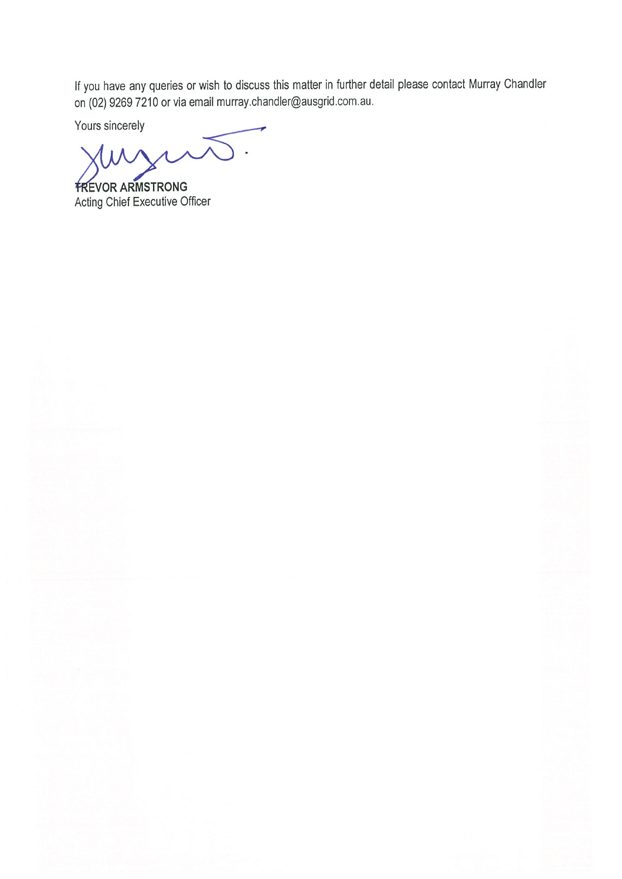If you have any queries or wish to discuss this matter in further detail please contact Murray Chandler on (02) 9269 7210 or via email murray.chandler@ausgrid.com.au.

Yours sincerely

**FREVOR ARMSTRONG** Acting Chief Executive Officer

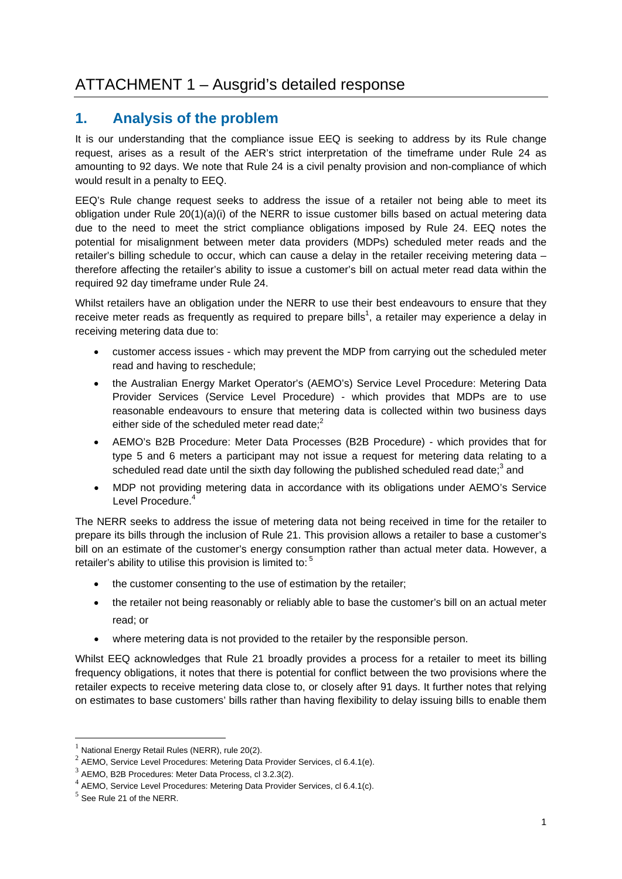# **1. Analysis of the problem**

It is our understanding that the compliance issue EEQ is seeking to address by its Rule change request, arises as a result of the AER's strict interpretation of the timeframe under Rule 24 as amounting to 92 days. We note that Rule 24 is a civil penalty provision and non-compliance of which would result in a penalty to EEQ.

EEQ's Rule change request seeks to address the issue of a retailer not being able to meet its obligation under Rule 20(1)(a)(i) of the NERR to issue customer bills based on actual metering data due to the need to meet the strict compliance obligations imposed by Rule 24. EEQ notes the potential for misalignment between meter data providers (MDPs) scheduled meter reads and the retailer's billing schedule to occur, which can cause a delay in the retailer receiving metering data – therefore affecting the retailer's ability to issue a customer's bill on actual meter read data within the required 92 day timeframe under Rule 24.

Whilst retailers have an obligation under the NERR to use their best endeavours to ensure that they receive meter reads as frequently as required to prepare bills<sup>1</sup>, a retailer may experience a delay in receiving metering data due to:

- customer access issues which may prevent the MDP from carrying out the scheduled meter read and having to reschedule;
- the Australian Energy Market Operator's (AEMO's) Service Level Procedure: Metering Data Provider Services (Service Level Procedure) - which provides that MDPs are to use reasonable endeavours to ensure that metering data is collected within two business days either side of the scheduled meter read date; $2$
- AEMO's B2B Procedure: Meter Data Processes (B2B Procedure) which provides that for type 5 and 6 meters a participant may not issue a request for metering data relating to a scheduled read date until the sixth day following the published scheduled read date; $3$  and
- MDP not providing metering data in accordance with its obligations under AEMO's Service Level Procedure.<sup>4</sup>

The NERR seeks to address the issue of metering data not being received in time for the retailer to prepare its bills through the inclusion of Rule 21. This provision allows a retailer to base a customer's bill on an estimate of the customer's energy consumption rather than actual meter data. However, a retailer's ability to utilise this provision is limited to:<sup>5</sup>

- the customer consenting to the use of estimation by the retailer;
- the retailer not being reasonably or reliably able to base the customer's bill on an actual meter read; or
- where metering data is not provided to the retailer by the responsible person.

Whilst EEQ acknowledges that Rule 21 broadly provides a process for a retailer to meet its billing frequency obligations, it notes that there is potential for conflict between the two provisions where the retailer expects to receive metering data close to, or closely after 91 days. It further notes that relying on estimates to base customers' bills rather than having flexibility to delay issuing bills to enable them

<u>.</u>

National Energy Retail Rules (NERR), rule 20(2).

<sup>&</sup>lt;sup>2</sup> AEMO, Service Level Procedures: Metering Data Provider Services, cl 6.4.1(e).

<sup>3</sup> AEMO, B2B Procedures: Meter Data Process, cl 3.2.3(2).

<sup>4</sup> AEMO, Service Level Procedures: Metering Data Provider Services, cl 6.4.1(c).

 $<sup>5</sup>$  See Rule 21 of the NERR.</sup>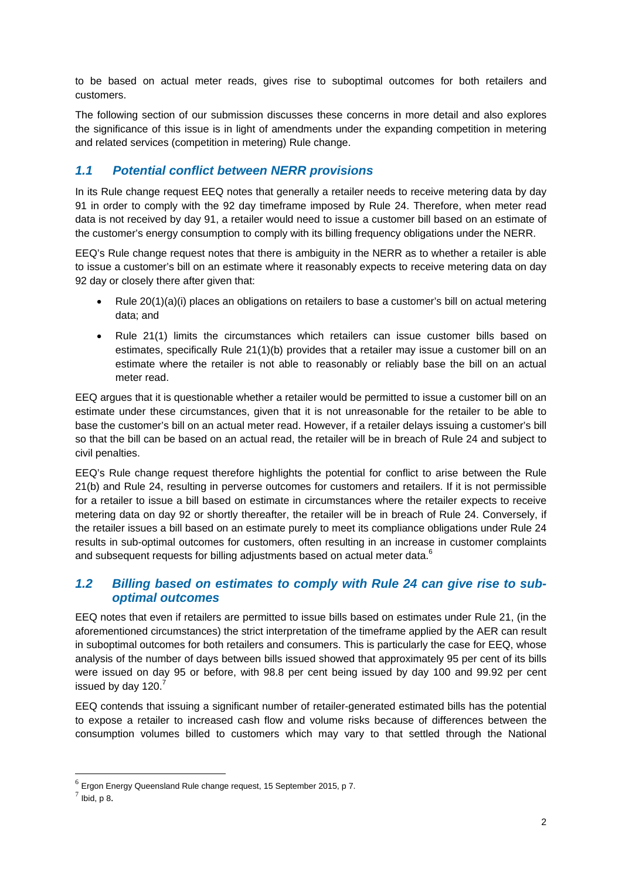to be based on actual meter reads, gives rise to suboptimal outcomes for both retailers and customers.

The following section of our submission discusses these concerns in more detail and also explores the significance of this issue is in light of amendments under the expanding competition in metering and related services (competition in metering) Rule change.

## *1.1 Potential conflict between NERR provisions*

In its Rule change request EEQ notes that generally a retailer needs to receive metering data by day 91 in order to comply with the 92 day timeframe imposed by Rule 24. Therefore, when meter read data is not received by day 91, a retailer would need to issue a customer bill based on an estimate of the customer's energy consumption to comply with its billing frequency obligations under the NERR.

EEQ's Rule change request notes that there is ambiguity in the NERR as to whether a retailer is able to issue a customer's bill on an estimate where it reasonably expects to receive metering data on day 92 day or closely there after given that:

- Rule 20(1)(a)(i) places an obligations on retailers to base a customer's bill on actual metering data; and
- Rule 21(1) limits the circumstances which retailers can issue customer bills based on estimates, specifically Rule 21(1)(b) provides that a retailer may issue a customer bill on an estimate where the retailer is not able to reasonably or reliably base the bill on an actual meter read.

EEQ argues that it is questionable whether a retailer would be permitted to issue a customer bill on an estimate under these circumstances, given that it is not unreasonable for the retailer to be able to base the customer's bill on an actual meter read. However, if a retailer delays issuing a customer's bill so that the bill can be based on an actual read, the retailer will be in breach of Rule 24 and subject to civil penalties.

EEQ's Rule change request therefore highlights the potential for conflict to arise between the Rule 21(b) and Rule 24, resulting in perverse outcomes for customers and retailers. If it is not permissible for a retailer to issue a bill based on estimate in circumstances where the retailer expects to receive metering data on day 92 or shortly thereafter, the retailer will be in breach of Rule 24. Conversely, if the retailer issues a bill based on an estimate purely to meet its compliance obligations under Rule 24 results in sub-optimal outcomes for customers, often resulting in an increase in customer complaints and subsequent requests for billing adjustments based on actual meter data.<sup>6</sup>

#### *1.2 Billing based on estimates to comply with Rule 24 can give rise to suboptimal outcomes*

EEQ notes that even if retailers are permitted to issue bills based on estimates under Rule 21, (in the aforementioned circumstances) the strict interpretation of the timeframe applied by the AER can result in suboptimal outcomes for both retailers and consumers. This is particularly the case for EEQ, whose analysis of the number of days between bills issued showed that approximately 95 per cent of its bills were issued on day 95 or before, with 98.8 per cent being issued by day 100 and 99.92 per cent issued by day  $120.<sup>7</sup>$ 

EEQ contends that issuing a significant number of retailer-generated estimated bills has the potential to expose a retailer to increased cash flow and volume risks because of differences between the consumption volumes billed to customers which may vary to that settled through the National

<u>.</u>

 $6$  Ergon Energy Queensland Rule change request, 15 September 2015, p 7.

 $<sup>7</sup>$  Ibid, p 8.</sup>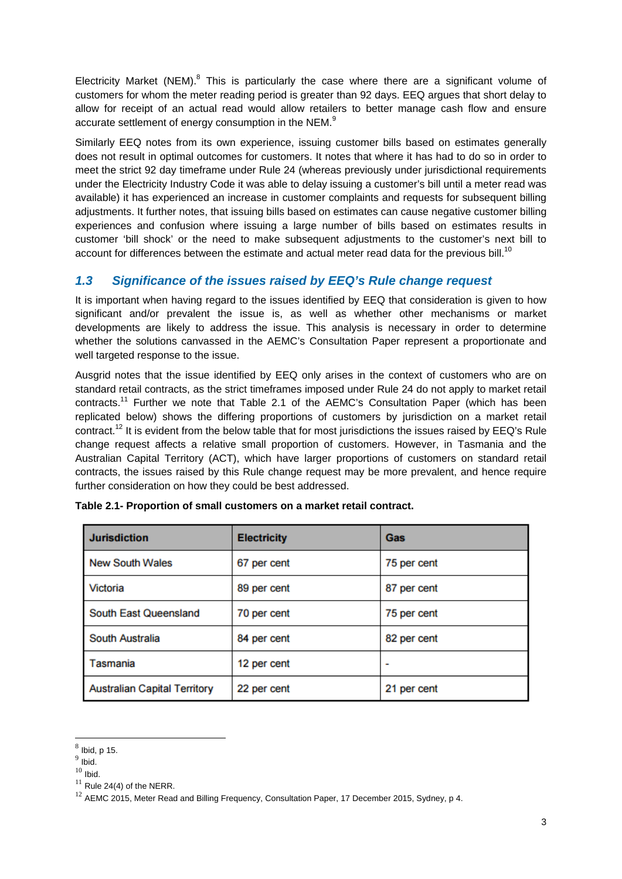Electricity Market (NEM). $<sup>8</sup>$  This is particularly the case where there are a significant volume of</sup> customers for whom the meter reading period is greater than 92 days. EEQ argues that short delay to allow for receipt of an actual read would allow retailers to better manage cash flow and ensure accurate settlement of energy consumption in the NEM.<sup>9</sup>

Similarly EEQ notes from its own experience, issuing customer bills based on estimates generally does not result in optimal outcomes for customers. It notes that where it has had to do so in order to meet the strict 92 day timeframe under Rule 24 (whereas previously under jurisdictional requirements under the Electricity Industry Code it was able to delay issuing a customer's bill until a meter read was available) it has experienced an increase in customer complaints and requests for subsequent billing adjustments. It further notes, that issuing bills based on estimates can cause negative customer billing experiences and confusion where issuing a large number of bills based on estimates results in customer 'bill shock' or the need to make subsequent adjustments to the customer's next bill to account for differences between the estimate and actual meter read data for the previous bill.<sup>10</sup>

## *1.3 Significance of the issues raised by EEQ's Rule change request*

It is important when having regard to the issues identified by EEQ that consideration is given to how significant and/or prevalent the issue is, as well as whether other mechanisms or market developments are likely to address the issue. This analysis is necessary in order to determine whether the solutions canvassed in the AEMC's Consultation Paper represent a proportionate and well targeted response to the issue.

Ausgrid notes that the issue identified by EEQ only arises in the context of customers who are on standard retail contracts, as the strict timeframes imposed under Rule 24 do not apply to market retail contracts.<sup>11</sup> Further we note that Table 2.1 of the AEMC's Consultation Paper (which has been replicated below) shows the differing proportions of customers by jurisdiction on a market retail contract.<sup>12</sup> It is evident from the below table that for most jurisdictions the issues raised by EEQ's Rule change request affects a relative small proportion of customers. However, in Tasmania and the Australian Capital Territory (ACT), which have larger proportions of customers on standard retail contracts, the issues raised by this Rule change request may be more prevalent, and hence require further consideration on how they could be best addressed.

| <b>Jurisdiction</b>                 | <b>Electricity</b> | Gas         |
|-------------------------------------|--------------------|-------------|
| <b>New South Wales</b>              | 67 per cent        | 75 per cent |
| Victoria                            | 89 per cent        | 87 per cent |
| South East Queensland               | 70 per cent        | 75 per cent |
| South Australia                     | 84 per cent        | 82 per cent |
| Tasmania                            | 12 per cent        |             |
| <b>Australian Capital Territory</b> | 22 per cent        | 21 per cent |

| Table 2.1- Proportion of small customers on a market retail contract. |  |  |  |  |  |
|-----------------------------------------------------------------------|--|--|--|--|--|
|-----------------------------------------------------------------------|--|--|--|--|--|

<u>.</u>

 $<sup>8</sup>$  Ibid, p 15.</sup>

 $9$  Ibid.

 $10$  Ibid.

 $11$  Rule 24(4) of the NERR.

<sup>&</sup>lt;sup>12</sup> AEMC 2015, Meter Read and Billing Frequency, Consultation Paper, 17 December 2015, Sydney, p 4.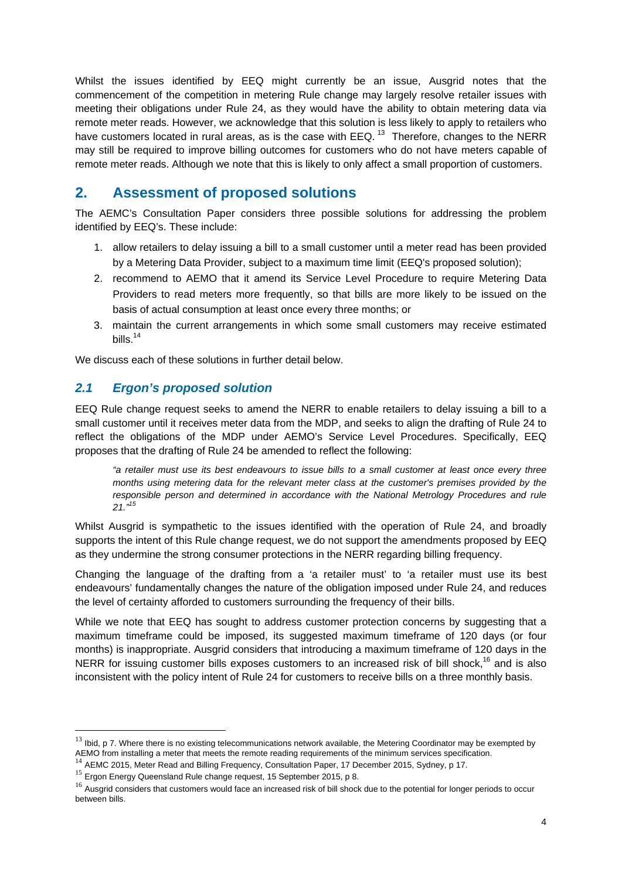Whilst the issues identified by EEQ might currently be an issue, Ausgrid notes that the commencement of the competition in metering Rule change may largely resolve retailer issues with meeting their obligations under Rule 24, as they would have the ability to obtain metering data via remote meter reads. However, we acknowledge that this solution is less likely to apply to retailers who have customers located in rural areas, as is the case with EEQ.<sup>13</sup> Therefore, changes to the NERR may still be required to improve billing outcomes for customers who do not have meters capable of remote meter reads. Although we note that this is likely to only affect a small proportion of customers.

# **2. Assessment of proposed solutions**

The AEMC's Consultation Paper considers three possible solutions for addressing the problem identified by EEQ's. These include:

- 1. allow retailers to delay issuing a bill to a small customer until a meter read has been provided by a Metering Data Provider, subject to a maximum time limit (EEQ's proposed solution);
- 2. recommend to AEMO that it amend its Service Level Procedure to require Metering Data Providers to read meters more frequently, so that bills are more likely to be issued on the basis of actual consumption at least once every three months; or
- 3. maintain the current arrangements in which some small customers may receive estimated bills. $14$

We discuss each of these solutions in further detail below.

### *2.1 Ergon's proposed solution*

EEQ Rule change request seeks to amend the NERR to enable retailers to delay issuing a bill to a small customer until it receives meter data from the MDP, and seeks to align the drafting of Rule 24 to reflect the obligations of the MDP under AEMO's Service Level Procedures. Specifically, EEQ proposes that the drafting of Rule 24 be amended to reflect the following:

*"a retailer must use its best endeavours to issue bills to a small customer at least once every three months using metering data for the relevant meter class at the customer's premises provided by the responsible person and determined in accordance with the National Metrology Procedures and rule 21."15*

Whilst Ausgrid is sympathetic to the issues identified with the operation of Rule 24, and broadly supports the intent of this Rule change request, we do not support the amendments proposed by EEQ as they undermine the strong consumer protections in the NERR regarding billing frequency.

Changing the language of the drafting from a 'a retailer must' to 'a retailer must use its best endeavours' fundamentally changes the nature of the obligation imposed under Rule 24, and reduces the level of certainty afforded to customers surrounding the frequency of their bills.

While we note that EEQ has sought to address customer protection concerns by suggesting that a maximum timeframe could be imposed, its suggested maximum timeframe of 120 days (or four months) is inappropriate. Ausgrid considers that introducing a maximum timeframe of 120 days in the NERR for issuing customer bills exposes customers to an increased risk of bill shock,<sup>16</sup> and is also inconsistent with the policy intent of Rule 24 for customers to receive bills on a three monthly basis.

1

 $13$  Ibid, p 7. Where there is no existing telecommunications network available, the Metering Coordinator may be exempted by AEMO from installing a meter that meets the remote reading requirements of the minimum services

<sup>&</sup>lt;sup>14</sup> AEMC 2015, Meter Read and Billing Frequency, Consultation Paper, 17 December 2015, Sydney, p 17.

 $15$  Ergon Energy Queensland Rule change request, 15 September 2015, p 8.

<sup>&</sup>lt;sup>16</sup> Ausgrid considers that customers would face an increased risk of bill shock due to the potential for longer periods to occur between bills.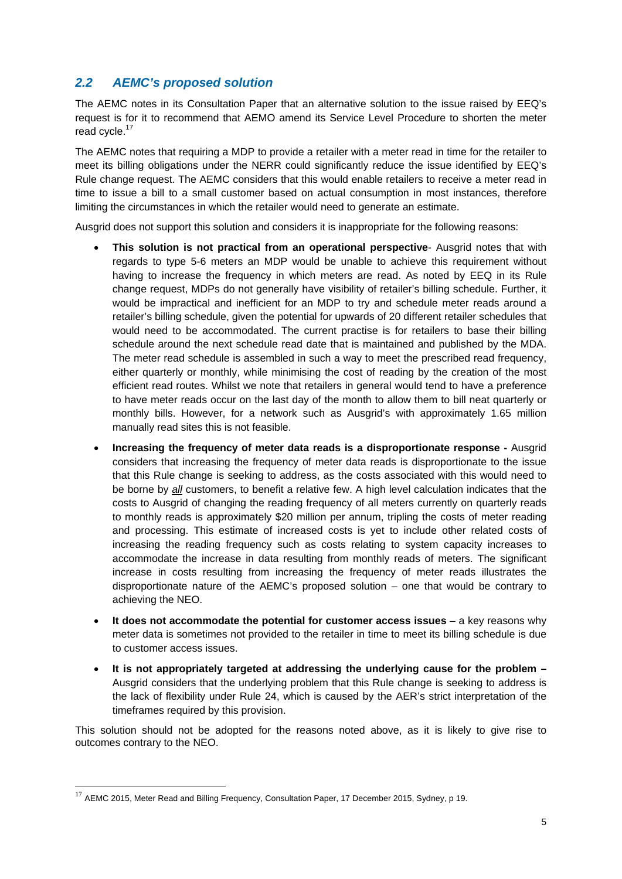## *2.2 AEMC's proposed solution*

The AEMC notes in its Consultation Paper that an alternative solution to the issue raised by EEQ's request is for it to recommend that AEMO amend its Service Level Procedure to shorten the meter read cycle.<sup>17</sup>

The AEMC notes that requiring a MDP to provide a retailer with a meter read in time for the retailer to meet its billing obligations under the NERR could significantly reduce the issue identified by EEQ's Rule change request. The AEMC considers that this would enable retailers to receive a meter read in time to issue a bill to a small customer based on actual consumption in most instances, therefore limiting the circumstances in which the retailer would need to generate an estimate.

Ausgrid does not support this solution and considers it is inappropriate for the following reasons:

- **This solution is not practical from an operational perspective** Ausgrid notes that with regards to type 5-6 meters an MDP would be unable to achieve this requirement without having to increase the frequency in which meters are read. As noted by EEQ in its Rule change request, MDPs do not generally have visibility of retailer's billing schedule. Further, it would be impractical and inefficient for an MDP to try and schedule meter reads around a retailer's billing schedule, given the potential for upwards of 20 different retailer schedules that would need to be accommodated. The current practise is for retailers to base their billing schedule around the next schedule read date that is maintained and published by the MDA. The meter read schedule is assembled in such a way to meet the prescribed read frequency, either quarterly or monthly, while minimising the cost of reading by the creation of the most efficient read routes. Whilst we note that retailers in general would tend to have a preference to have meter reads occur on the last day of the month to allow them to bill neat quarterly or monthly bills. However, for a network such as Ausgrid's with approximately 1.65 million manually read sites this is not feasible.
- **Increasing the frequency of meter data reads is a disproportionate response** Ausgrid considers that increasing the frequency of meter data reads is disproportionate to the issue that this Rule change is seeking to address, as the costs associated with this would need to be borne by *all* customers, to benefit a relative few. A high level calculation indicates that the costs to Ausgrid of changing the reading frequency of all meters currently on quarterly reads to monthly reads is approximately \$20 million per annum, tripling the costs of meter reading and processing. This estimate of increased costs is yet to include other related costs of increasing the reading frequency such as costs relating to system capacity increases to accommodate the increase in data resulting from monthly reads of meters. The significant increase in costs resulting from increasing the frequency of meter reads illustrates the disproportionate nature of the AEMC's proposed solution – one that would be contrary to achieving the NEO.
- **It does not accommodate the potential for customer access issues** a key reasons why meter data is sometimes not provided to the retailer in time to meet its billing schedule is due to customer access issues.
- **It is not appropriately targeted at addressing the underlying cause for the problem –** Ausgrid considers that the underlying problem that this Rule change is seeking to address is the lack of flexibility under Rule 24, which is caused by the AER's strict interpretation of the timeframes required by this provision.

This solution should not be adopted for the reasons noted above, as it is likely to give rise to outcomes contrary to the NEO.

1

 $17$  AEMC 2015, Meter Read and Billing Frequency, Consultation Paper, 17 December 2015, Sydney, p 19.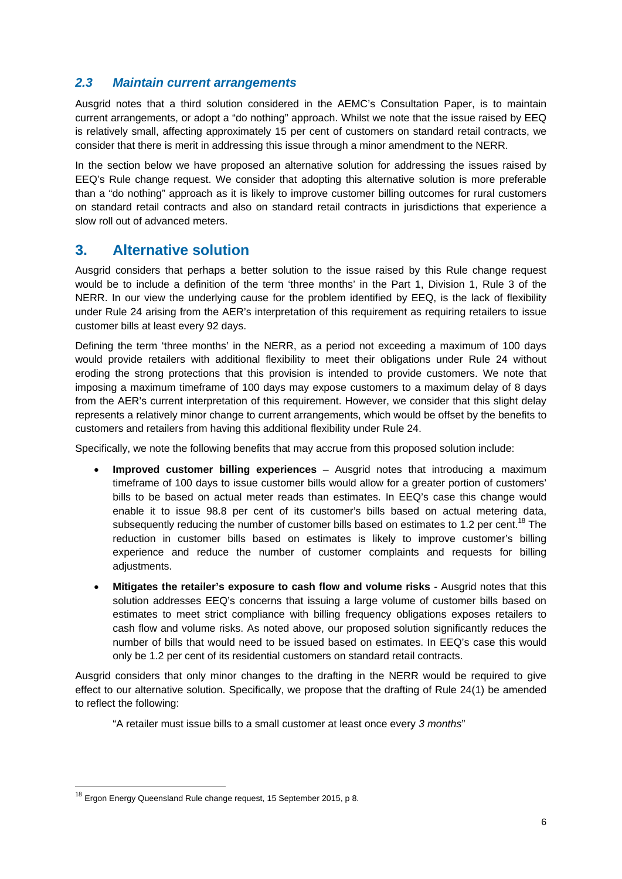### *2.3 Maintain current arrangements*

Ausgrid notes that a third solution considered in the AEMC's Consultation Paper, is to maintain current arrangements, or adopt a "do nothing" approach. Whilst we note that the issue raised by EEQ is relatively small, affecting approximately 15 per cent of customers on standard retail contracts, we consider that there is merit in addressing this issue through a minor amendment to the NERR.

In the section below we have proposed an alternative solution for addressing the issues raised by EEQ's Rule change request. We consider that adopting this alternative solution is more preferable than a "do nothing" approach as it is likely to improve customer billing outcomes for rural customers on standard retail contracts and also on standard retail contracts in jurisdictions that experience a slow roll out of advanced meters.

# **3. Alternative solution**

Ausgrid considers that perhaps a better solution to the issue raised by this Rule change request would be to include a definition of the term 'three months' in the Part 1, Division 1, Rule 3 of the NERR. In our view the underlying cause for the problem identified by EEQ, is the lack of flexibility under Rule 24 arising from the AER's interpretation of this requirement as requiring retailers to issue customer bills at least every 92 days.

Defining the term 'three months' in the NERR, as a period not exceeding a maximum of 100 days would provide retailers with additional flexibility to meet their obligations under Rule 24 without eroding the strong protections that this provision is intended to provide customers. We note that imposing a maximum timeframe of 100 days may expose customers to a maximum delay of 8 days from the AER's current interpretation of this requirement. However, we consider that this slight delay represents a relatively minor change to current arrangements, which would be offset by the benefits to customers and retailers from having this additional flexibility under Rule 24.

Specifically, we note the following benefits that may accrue from this proposed solution include:

- **Improved customer billing experiences** Ausgrid notes that introducing a maximum timeframe of 100 days to issue customer bills would allow for a greater portion of customers' bills to be based on actual meter reads than estimates. In EEQ's case this change would enable it to issue 98.8 per cent of its customer's bills based on actual metering data, subsequently reducing the number of customer bills based on estimates to 1.2 per cent.<sup>18</sup> The reduction in customer bills based on estimates is likely to improve customer's billing experience and reduce the number of customer complaints and requests for billing adjustments.
- **Mitigates the retailer's exposure to cash flow and volume risks** Ausgrid notes that this solution addresses EEQ's concerns that issuing a large volume of customer bills based on estimates to meet strict compliance with billing frequency obligations exposes retailers to cash flow and volume risks. As noted above, our proposed solution significantly reduces the number of bills that would need to be issued based on estimates. In EEQ's case this would only be 1.2 per cent of its residential customers on standard retail contracts.

Ausgrid considers that only minor changes to the drafting in the NERR would be required to give effect to our alternative solution. Specifically, we propose that the drafting of Rule 24(1) be amended to reflect the following:

"A retailer must issue bills to a small customer at least once every *3 months*"

1

 $^{18}$  Ergon Energy Queensland Rule change request, 15 September 2015, p 8.